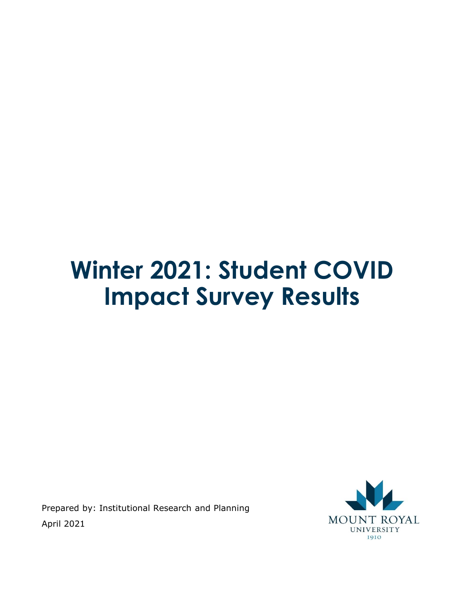# **Winter 2021: Student COVID Impact Survey Results**

Prepared by: Institutional Research and Planning April 2021

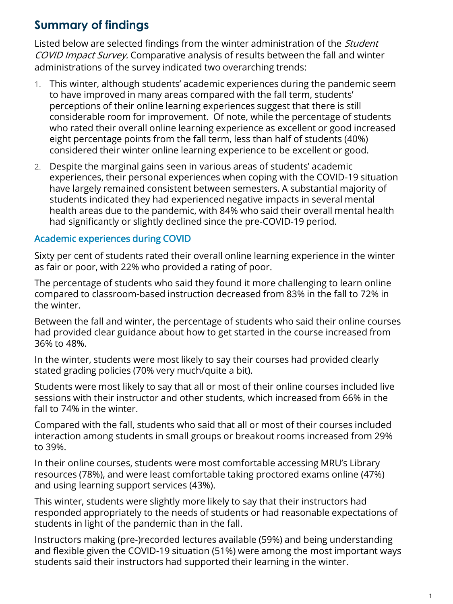# **Summary of findings**

Listed below are selected findings from the winter administration of the *Student* COVID Impact Survey. Comparative analysis of results between the fall and winter administrations of the survey indicated two overarching trends:

- 1. This winter, although students' academic experiences during the pandemic seem to have improved in many areas compared with the fall term, students' perceptions of their online learning experiences suggest that there is still considerable room for improvement. Of note, while the percentage of students who rated their overall online learning experience as excellent or good increased eight percentage points from the fall term, less than half of students (40%) considered their winter online learning experience to be excellent or good.
- 2. Despite the marginal gains seen in various areas of students' academic experiences, their personal experiences when coping with the COVID-19 situation have largely remained consistent between semesters. A substantial majority of students indicated they had experienced negative impacts in several mental health areas due to the pandemic, with 84% who said their overall mental health had significantly or slightly declined since the pre-COVID-19 period.

### Academic experiences during COVID

Sixty per cent of students rated their overall online learning experience in the winter as fair or poor, with 22% who provided a rating of poor.

The percentage of students who said they found it more challenging to learn online compared to classroom-based instruction decreased from 83% in the fall to 72% in the winter.

Between the fall and winter, the percentage of students who said their online courses had provided clear guidance about how to get started in the course increased from 36% to 48%.

In the winter, students were most likely to say their courses had provided clearly stated grading policies (70% very much/quite a bit).

Students were most likely to say that all or most of their online courses included live sessions with their instructor and other students, which increased from 66% in the fall to 74% in the winter.

Compared with the fall, students who said that all or most of their courses included interaction among students in small groups or breakout rooms increased from 29% to 39%.

In their online courses, students were most comfortable accessing MRU's Library resources (78%), and were least comfortable taking proctored exams online (47%) and using learning support services (43%).

This winter, students were slightly more likely to say that their instructors had responded appropriately to the needs of students or had reasonable expectations of students in light of the pandemic than in the fall.

Instructors making (pre-)recorded lectures available (59%) and being understanding and flexible given the COVID-19 situation (51%) were among the most important ways students said their instructors had supported their learning in the winter.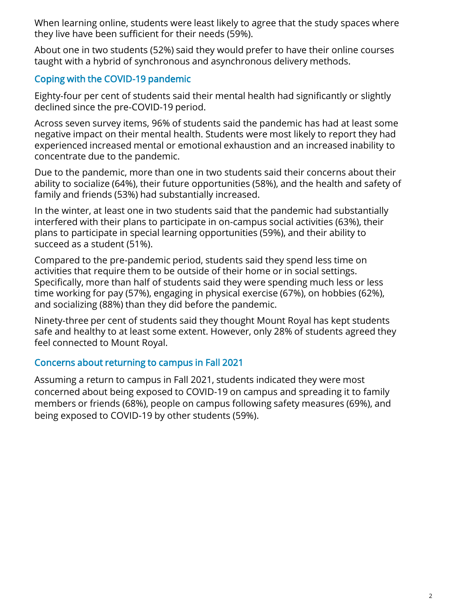When learning online, students were least likely to agree that the study spaces where they live have been sufficient for their needs (59%).

About one in two students (52%) said they would prefer to have their online courses taught with a hybrid of synchronous and asynchronous delivery methods.

### Coping with the COVID-19 pandemic

Eighty-four per cent of students said their mental health had significantly or slightly declined since the pre-COVID-19 period.

Across seven survey items, 96% of students said the pandemic has had at least some negative impact on their mental health. Students were most likely to report they had experienced increased mental or emotional exhaustion and an increased inability to concentrate due to the pandemic.

Due to the pandemic, more than one in two students said their concerns about their ability to socialize (64%), their future opportunities (58%), and the health and safety of family and friends (53%) had substantially increased.

In the winter, at least one in two students said that the pandemic had substantially interfered with their plans to participate in on-campus social activities (63%), their plans to participate in special learning opportunities (59%), and their ability to succeed as a student (51%).

Compared to the pre-pandemic period, students said they spend less time on activities that require them to be outside of their home or in social settings. Specifically, more than half of students said they were spending much less or less time working for pay (57%), engaging in physical exercise (67%), on hobbies (62%), and socializing (88%) than they did before the pandemic.

Ninety-three per cent of students said they thought Mount Royal has kept students safe and healthy to at least some extent. However, only 28% of students agreed they feel connected to Mount Royal.

### Concerns about returning to campus in Fall 2021

Assuming a return to campus in Fall 2021, students indicated they were most concerned about being exposed to COVID-19 on campus and spreading it to family members or friends (68%), people on campus following safety measures (69%), and being exposed to COVID-19 by other students (59%).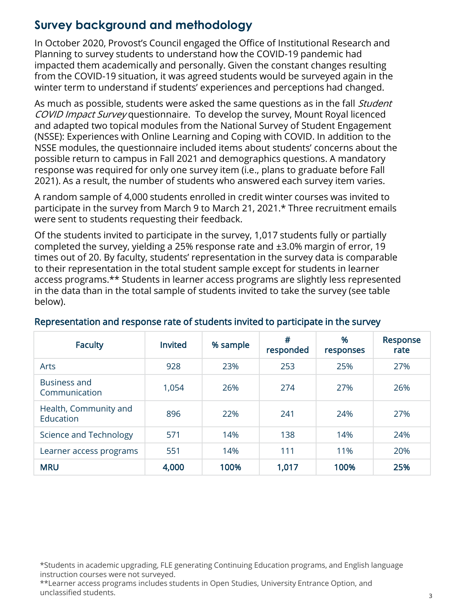# **Survey background and methodology**

In October 2020, Provost's Council engaged the Office of Institutional Research and Planning to survey students to understand how the COVID-19 pandemic had impacted them academically and personally. Given the constant changes resulting from the COVID-19 situation, it was agreed students would be surveyed again in the winter term to understand if students' experiences and perceptions had changed.

As much as possible, students were asked the same questions as in the fall *Student* COVID Impact Survey questionnaire. To develop the survey, Mount Royal licenced and adapted two topical modules from the National Survey of Student Engagement (NSSE): Experiences with Online Learning and Coping with COVID. In addition to the NSSE modules, the questionnaire included items about students' concerns about the possible return to campus in Fall 2021 and demographics questions. A mandatory response was required for only one survey item (i.e., plans to graduate before Fall 2021). As a result, the number of students who answered each survey item varies.

A random sample of 4,000 students enrolled in credit winter courses was invited to participate in the survey from March 9 to March 21, 2021.\* Three recruitment emails were sent to students requesting their feedback.

Of the students invited to participate in the survey, 1,017 students fully or partially completed the survey, yielding a 25% response rate and ±3.0% margin of error, 19 times out of 20. By faculty, students' representation in the survey data is comparable to their representation in the total student sample except for students in learner access programs.\*\* Students in learner access programs are slightly less represented in the data than in the total sample of students invited to take the survey (see table below).

| <b>Faculty</b>                       | <b>Invited</b> | % sample | #<br>responded | %<br>responses | Response<br>rate |
|--------------------------------------|----------------|----------|----------------|----------------|------------------|
| Arts                                 | 928            | 23%      | 253            | 25%            | 27%              |
| <b>Business and</b><br>Communication | 1.054          | 26%      | 274            | 27%            | 26%              |
| Health, Community and<br>Education   | 896            | 22%      | 241            | 24%            | 27%              |
| Science and Technology               | 571            | 14%      | 138            | 14%            | 24%              |
| Learner access programs              | 551            | 14%      | 111            | 11%            | 20%              |
| <b>MRU</b>                           | 4,000          | 100%     | 1,017          | 100%           | 25%              |

### Representation and response rate of students invited to participate in the survey

\*Students in academic upgrading, FLE generating Continuing Education programs, and English language instruction courses were not surveyed.

\*\*Learner access programs includes students in Open Studies, University Entrance Option, and unclassified students.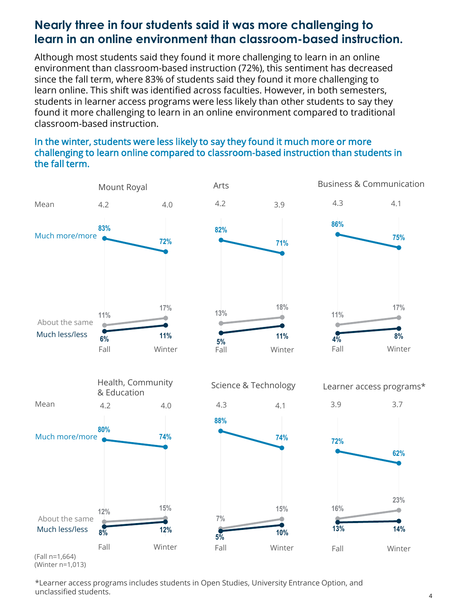# **Nearly three in four students said it was more challenging to learn in an online environment than classroom-based instruction.**

Although most students said they found it more challenging to learn in an online environment than classroom-based instruction (72%), this sentiment has decreased since the fall term, where 83% of students said they found it more challenging to learn online. This shift was identified across faculties. However, in both semesters, students in learner access programs were less likely than other students to say they found it more challenging to learn in an online environment compared to traditional classroom-based instruction.

#### In the winter, students were less likely to say they found it much more or more challenging to learn online compared to classroom-based instruction than students in the fall term.





Arts Business & Communication



(Winter n=1,013)

\*Learner access programs includes students in Open Studies, University Entrance Option, and unclassified students.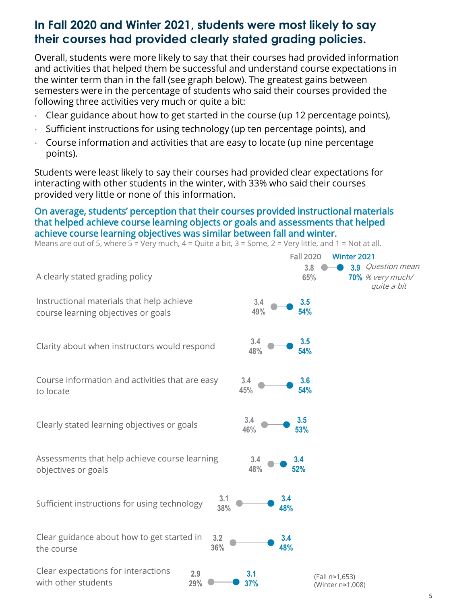# **In Fall 2020 and Winter 2021, students were most likely to say their courses had provided clearly stated grading policies.**

Overall, students were more likely to say that their courses had provided information and activities that helped them be successful and understand course expectations in the winter term than in the fall (see graph below). The greatest gains between semesters were in the percentage of students who said their courses provided the following three activities very much or quite a bit:

- Clear guidance about how to get started in the course (up 12 percentage points),
- Sufficient instructions for using technology (up ten percentage points), and
- Course information and activities that are easy to locate (up nine percentage points).

Students were least likely to say their courses had provided clear expectations for interacting with other students in the winter, with 33% who said their courses provided very little or none of this information.

#### On average, students' perception that their courses provided instructional materials that helped achieve course learning objects or goals and assessments that helped achieve course learning objectives was similar between fall and winter.

**3.8 65% 3.9** Question mean **70%** % very much/ **3.4 49% 3.5 54% 3.4 48% 3.5 54% 3.4 48% 3.4 52% 3.4 46% 3.5 53% 3.4 45% 3.6 54%** A clearly stated grading policy Instructional materials that help achieve course learning objectives or goals Clarity about when instructors would respond Assessments that help achieve course learning objectives or goals Clearly stated learning objectives or goals Course information and activities that are easy to locate Sufficient instructions for using technology Clear guidance about how to get started in the course Clear expectations for interactions with other students **3.1 38% 3.4 48% 3.2 36% 3.4 48% 2.9 29% 3.1 37%** Fall 2020 Winter 2021 quite a bit Means are out of 5, where  $5 =$  Very much,  $4 =$  Quite a bit,  $3 =$  Some,  $2 =$  Very little, and  $1 =$  Not at all. (Fall n≈1,653) (Winter n≈1,008)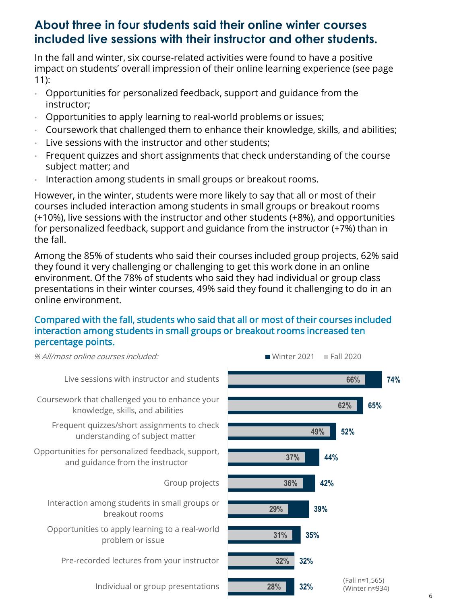# **About three in four students said their online winter courses included live sessions with their instructor and other students.**

In the fall and winter, six course-related activities were found to have a positive impact on students' overall impression of their online learning experience (see page 11):

- Opportunities for personalized feedback, support and guidance from the instructor;
- Opportunities to apply learning to real-world problems or issues;
- Coursework that challenged them to enhance their knowledge, skills, and abilities;
- Live sessions with the instructor and other students:
- Frequent quizzes and short assignments that check understanding of the course subject matter; and
- Interaction among students in small groups or breakout rooms.

However, in the winter, students were more likely to say that all or most of their courses included interaction among students in small groups or breakout rooms (+10%), live sessions with the instructor and other students (+8%), and opportunities for personalized feedback, support and guidance from the instructor (+7%) than in the fall.

Among the 85% of students who said their courses included group projects, 62% said they found it very challenging or challenging to get this work done in an online environment. Of the 78% of students who said they had individual or group class presentations in their winter courses, 49% said they found it challenging to do in an online environment.

### Compared with the fall, students who said that all or most of their courses included interaction among students in small groups or breakout rooms increased ten percentage points.

**32% 32% 35% 39% 42% 44% 52% 65% 74% 28% 32% 31% 29% 36% 37% 49% 62% 66%** Individual or group presentations Pre-recorded lectures from your instructor Opportunities to apply learning to a real-world problem or issue Interaction among students in small groups or breakout rooms Group projects Opportunities for personalized feedback, support, and guidance from the instructor Frequent quizzes/short assignments to check understanding of subject matter Coursework that challenged you to enhance your knowledge, skills, and abilities Live sessions with instructor and students % All/most online courses included: Whiter 2021 Fall 2020 (Fall n≈1,565) (Winter n≈934)

6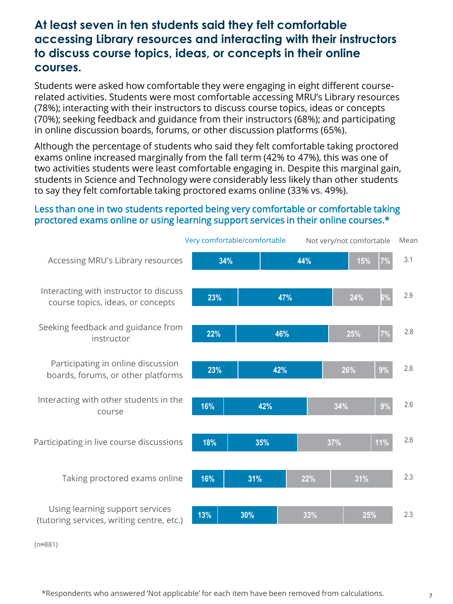# **At least seven in ten students said they felt comfortable accessing Library resources and interacting with their instructors to discuss course topics, ideas, or concepts in their online courses.**

Students were asked how comfortable they were engaging in eight different courserelated activities. Students were most comfortable accessing MRU's Library resources (78%); interacting with their instructors to discuss course topics, ideas or concepts (70%); seeking feedback and guidance from their instructors (68%); and participating in online discussion boards, forums, or other discussion platforms (65%).

Although the percentage of students who said they felt comfortable taking proctored exams online increased marginally from the fall term (42% to 47%), this was one of two activities students were least comfortable engaging in. Despite this marginal gain, students in Science and Technology were considerably less likely than other students to say they felt comfortable taking proctored exams online (33% vs. 49%).

#### Less than one in two students reported being very comfortable or comfortable taking proctored exams online or using learning support services in their online courses.\*



(n≈881)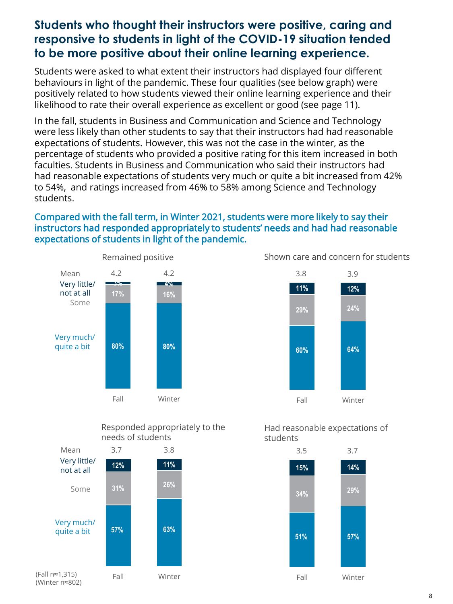# **Students who thought their instructors were positive, caring and responsive to students in light of the COVID-19 situation tended to be more positive about their online learning experience.**

Students were asked to what extent their instructors had displayed four different behaviours in light of the pandemic. These four qualities (see below graph) were positively related to how students viewed their online learning experience and their likelihood to rate their overall experience as excellent or good (see page 11).

In the fall, students in Business and Communication and Science and Technology were less likely than other students to say that their instructors had had reasonable expectations of students. However, this was not the case in the winter, as the percentage of students who provided a positive rating for this item increased in both faculties. Students in Business and Communication who said their instructors had had reasonable expectations of students very much or quite a bit increased from 42% to 54%, and ratings increased from 46% to 58% among Science and Technology students.

### Compared with the fall term, in Winter 2021, students were more likely to say their instructors had responded appropriately to students' needs and had had reasonable expectations of students in light of the pandemic.



Shown care and concern for students



Responded appropriately to the needs of students



Had reasonable expectations of students

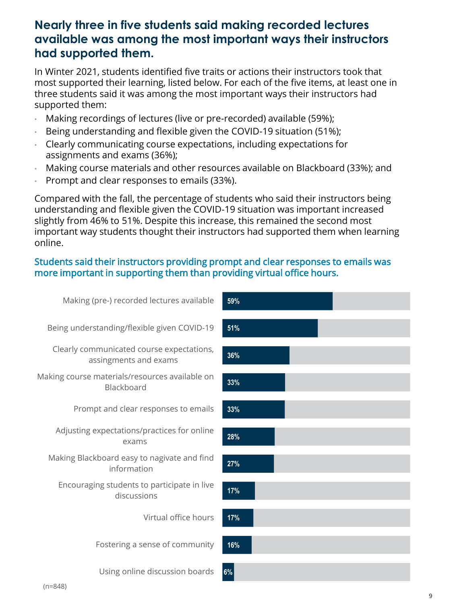### **Nearly three in five students said making recorded lectures available was among the most important ways their instructors had supported them.**

In Winter 2021, students identified five traits or actions their instructors took that most supported their learning, listed below. For each of the five items, at least one in three students said it was among the most important ways their instructors had supported them:

- Making recordings of lectures (live or pre-recorded) available (59%);
- Being understanding and flexible given the COVID-19 situation (51%);
- Clearly communicating course expectations, including expectations for assignments and exams (36%);
- Making course materials and other resources available on Blackboard (33%); and
- Prompt and clear responses to emails (33%).

Compared with the fall, the percentage of students who said their instructors being understanding and flexible given the COVID-19 situation was important increased slightly from 46% to 51%. Despite this increase, this remained the second most important way students thought their instructors had supported them when learning online.

#### Students said their instructors providing prompt and clear responses to emails was more important in supporting them than providing virtual office hours.

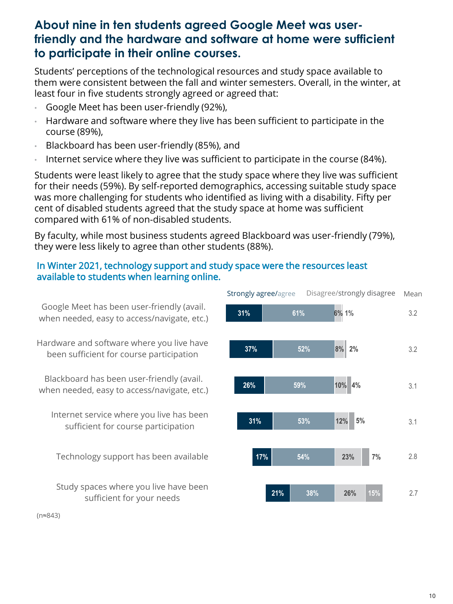### **About nine in ten students agreed Google Meet was userfriendly and the hardware and software at home were sufficient to participate in their online courses.**

Students' perceptions of the technological resources and study space available to them were consistent between the fall and winter semesters. Overall, in the winter, at least four in five students strongly agreed or agreed that:

- Google Meet has been user-friendly (92%),
- Hardware and software where they live has been sufficient to participate in the course (89%),
- Blackboard has been user-friendly (85%), and
- Internet service where they live was sufficient to participate in the course (84%).

Students were least likely to agree that the study space where they live was sufficient for their needs (59%). By self-reported demographics, accessing suitable study space was more challenging for students who identified as living with a disability. Fifty per cent of disabled students agreed that the study space at home was sufficient compared with 61% of non-disabled students.

By faculty, while most business students agreed Blackboard was user-friendly (79%), they were less likely to agree than other students (88%).

#### In Winter 2021, technology support and study space were the resources least available to students when learning online.



(n≈843)

2.7

3.1

2.8

3.1

3.2

Mean

3.2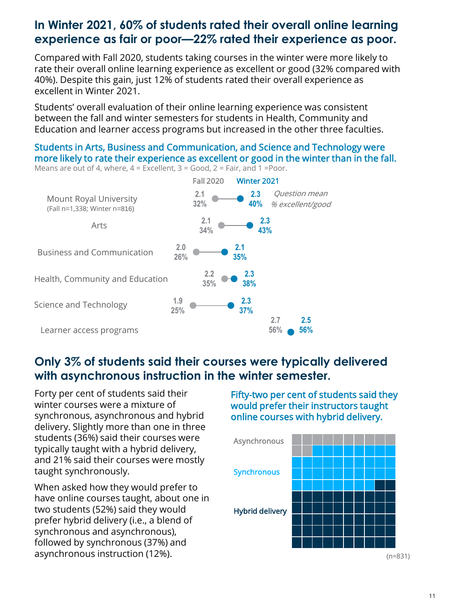# **In Winter 2021, 60% of students rated their overall online learning experience as fair or poor—22% rated their experience as poor.**

Compared with Fall 2020, students taking courses in the winter were more likely to rate their overall online learning experience as excellent or good (32% compared with 40%). Despite this gain, just 12% of students rated their overall experience as excellent in Winter 2021.

Students' overall evaluation of their online learning experience was consistent between the fall and winter semesters for students in Health, Community and Education and learner access programs but increased in the other three faculties.

#### Students in Arts, Business and Communication, and Science and Technology were more likely to rate their experience as excellent or good in the winter than in the fall.



Means are out of 4, where,  $4 =$  Excellent,  $3 =$  Good,  $2 =$  Fair, and 1 = Poor.

# **Only 3% of students said their courses were typically delivered with asynchronous instruction in the winter semester.**

Forty per cent of students said their winter courses were a mixture of synchronous, asynchronous and hybrid delivery. Slightly more than one in three students (36%) said their courses were typically taught with a hybrid delivery, and 21% said their courses were mostly taught synchronously.

When asked how they would prefer to have online courses taught, about one in two students (52%) said they would prefer hybrid delivery (i.e., a blend of synchronous and asynchronous), followed by synchronous (37%) and asynchronous instruction (12%).

Fifty-two per cent of students said they would prefer their instructors taught online courses with hybrid delivery.



<sup>(</sup>n=831)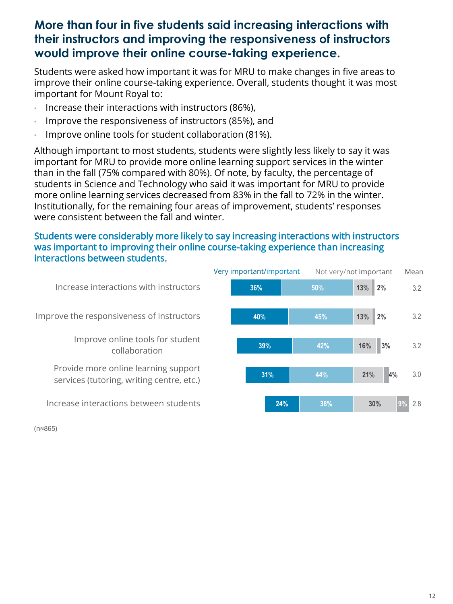# **More than four in five students said increasing interactions with their instructors and improving the responsiveness of instructors would improve their online course-taking experience.**

Students were asked how important it was for MRU to make changes in five areas to improve their online course-taking experience. Overall, students thought it was most important for Mount Royal to:

- Increase their interactions with instructors (86%),
- Improve the responsiveness of instructors (85%), and
- Improve online tools for student collaboration (81%).

Although important to most students, students were slightly less likely to say it was important for MRU to provide more online learning support services in the winter than in the fall (75% compared with 80%). Of note, by faculty, the percentage of students in Science and Technology who said it was important for MRU to provide more online learning services decreased from 83% in the fall to 72% in the winter. Institutionally, for the remaining four areas of improvement, students' responses were consistent between the fall and winter.

#### Students were considerably more likely to say increasing interactions with instructors was important to improving their online course-taking experience than increasing interactions between students.



(n≈865)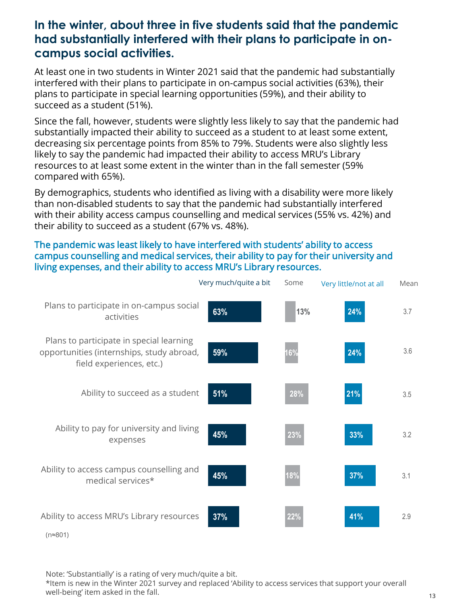### **In the winter, about three in five students said that the pandemic had substantially interfered with their plans to participate in oncampus social activities.**

At least one in two students in Winter 2021 said that the pandemic had substantially interfered with their plans to participate in on-campus social activities (63%), their plans to participate in special learning opportunities (59%), and their ability to succeed as a student (51%).

Since the fall, however, students were slightly less likely to say that the pandemic had substantially impacted their ability to succeed as a student to at least some extent, decreasing six percentage points from 85% to 79%. Students were also slightly less likely to say the pandemic had impacted their ability to access MRU's Library resources to at least some extent in the winter than in the fall semester (59% compared with 65%).

By demographics, students who identified as living with a disability were more likely than non-disabled students to say that the pandemic had substantially interfered with their ability access campus counselling and medical services (55% vs. 42%) and their ability to succeed as a student (67% vs. 48%).

#### The pandemic was least likely to have interfered with students' ability to access campus counselling and medical services, their ability to pay for their university and living expenses, and their ability to access MRU's Library resources.

|                                                                                                                   | Very much/quite a bit | Some | Very little/not at all | Mean |
|-------------------------------------------------------------------------------------------------------------------|-----------------------|------|------------------------|------|
| Plans to participate in on-campus social<br>activities                                                            | 63%                   | 13%  | 24%                    | 3.7  |
| Plans to participate in special learning<br>opportunities (internships, study abroad,<br>field experiences, etc.) | 59%                   | 16%  | 24%                    | 3.6  |
| Ability to succeed as a student                                                                                   | 51%                   | 28%  | 21%                    | 3.5  |
| Ability to pay for university and living<br>expenses                                                              | 45%                   | 23%  | 33%                    | 3.2  |
| Ability to access campus counselling and<br>medical services*                                                     | 45%                   | 18%  | 37%                    | 3.1  |
| Ability to access MRU's Library resources<br>(n≈801)                                                              | 37%                   | 22%  | 41%                    | 2.9  |

Note: 'Substantially' is a rating of very much/quite a bit.

\*Item is new in the Winter 2021 survey and replaced 'Ability to access services that support your overall well-being' item asked in the fall.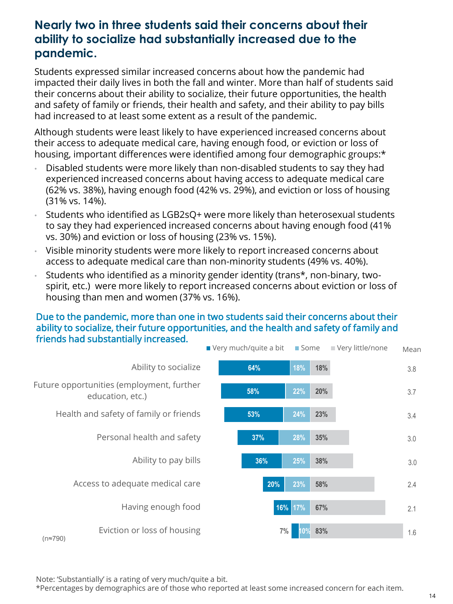# **Nearly two in three students said their concerns about their ability to socialize had substantially increased due to the pandemic.**

Students expressed similar increased concerns about how the pandemic had impacted their daily lives in both the fall and winter. More than half of students said their concerns about their ability to socialize, their future opportunities, the health and safety of family or friends, their health and safety, and their ability to pay bills had increased to at least some extent as a result of the pandemic.

Although students were least likely to have experienced increased concerns about their access to adequate medical care, having enough food, or eviction or loss of housing, important differences were identified among four demographic groups:\*

- Disabled students were more likely than non-disabled students to say they had experienced increased concerns about having access to adequate medical care (62% vs. 38%), having enough food (42% vs. 29%), and eviction or loss of housing (31% vs. 14%).
- Students who identified as LGB2sQ+ were more likely than heterosexual students to say they had experienced increased concerns about having enough food (41% vs. 30%) and eviction or loss of housing (23% vs. 15%).
- Visible minority students were more likely to report increased concerns about access to adequate medical care than non-minority students (49% vs. 40%).
- Students who identified as a minority gender identity (trans\*, non-binary, twospirit, etc.) were more likely to report increased concerns about eviction or loss of housing than men and women (37% vs. 16%).

#### Due to the pandemic, more than one in two students said their concerns about their ability to socialize, their future opportunities, and the health and safety of family and friends had substantially increased.



Note: 'Substantially' is a rating of very much/quite a bit.

\*Percentages by demographics are of those who reported at least some increased concern for each item.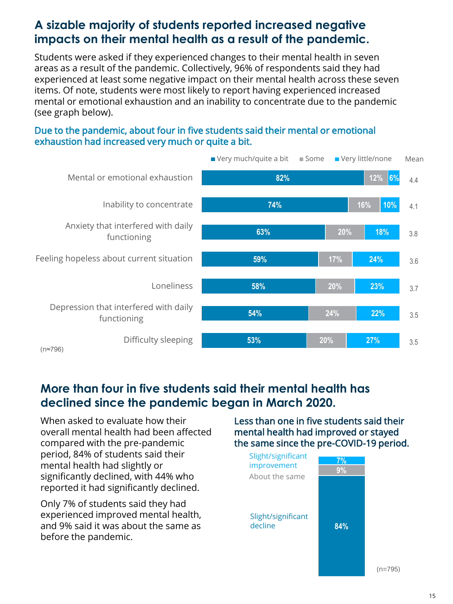# **A sizable majority of students reported increased negative impacts on their mental health as a result of the pandemic.**

Students were asked if they experienced changes to their mental health in seven areas as a result of the pandemic. Collectively, 96% of respondents said they had experienced at least some negative impact on their mental health across these seven items. Of note, students were most likely to report having experienced increased mental or emotional exhaustion and an inability to concentrate due to the pandemic (see graph below).

#### Due to the pandemic, about four in five students said their mental or emotional exhaustion had increased very much or quite a bit.



# **More than four in five students said their mental health has declined since the pandemic began in March 2020.**

When asked to evaluate how their overall mental health had been affected compared with the pre-pandemic period, 84% of students said their mental health had slightly or significantly declined, with 44% who reported it had significantly declined.

Only 7% of students said they had experienced improved mental health, and 9% said it was about the same as before the pandemic.

Less than one in five students said their mental health had improved or stayed the same since the pre-COVID-19 period.



(n=795)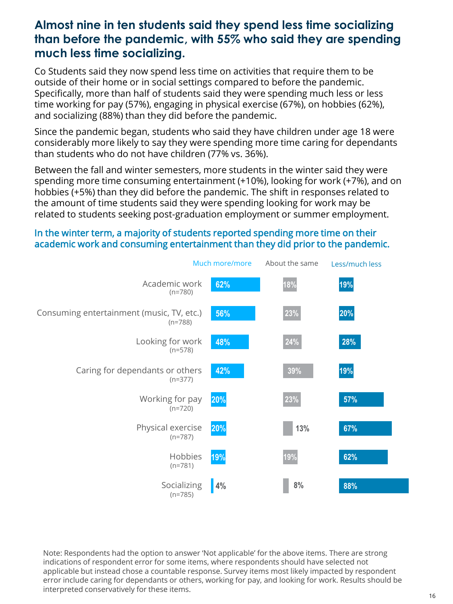### **Almost nine in ten students said they spend less time socializing than before the pandemic, with 55% who said they are spending much less time socializing.**

Co Students said they now spend less time on activities that require them to be outside of their home or in social settings compared to before the pandemic. Specifically, more than half of students said they were spending much less or less time working for pay (57%), engaging in physical exercise (67%), on hobbies (62%), and socializing (88%) than they did before the pandemic.

Since the pandemic began, students who said they have children under age 18 were considerably more likely to say they were spending more time caring for dependants than students who do not have children (77% vs. 36%).

Between the fall and winter semesters, more students in the winter said they were spending more time consuming entertainment (+10%), looking for work (+7%), and on hobbies (+5%) than they did before the pandemic. The shift in responses related to the amount of time students said they were spending looking for work may be related to students seeking post-graduation employment or summer employment.

#### In the winter term, a majority of students reported spending more time on their academic work and consuming entertainment than they did prior to the pandemic.

|                                                        | Much more/more | About the same | Less/much less |  |
|--------------------------------------------------------|----------------|----------------|----------------|--|
| Academic work<br>$(n=780)$                             | 62%            | 18%            | 19%            |  |
| Consuming entertainment (music, TV, etc.)<br>$(n=788)$ | 56%            | 23%            | 20%            |  |
| Looking for work<br>$(n=578)$                          | 48%            | 24%            | 28%            |  |
| Caring for dependants or others<br>$(n=377)$           | 42%            | 39%            | 19%            |  |
| Working for pay<br>$(n=720)$                           | 20%            | 23%            | 57%            |  |
| Physical exercise<br>$(n=787)$                         | 20%            | 13%            | 67%            |  |
| Hobbies<br>$(n=781)$                                   | 19%            | 19%            | 62%            |  |
| Socializing<br>$(n=785)$                               | 4%             | 8%             | 88%            |  |

Note: Respondents had the option to answer 'Not applicable' for the above items. There are strong indications of respondent error for some items, where respondents should have selected not applicable but instead chose a countable response. Survey items most likely impacted by respondent error include caring for dependants or others, working for pay, and looking for work. Results should be interpreted conservatively for these items.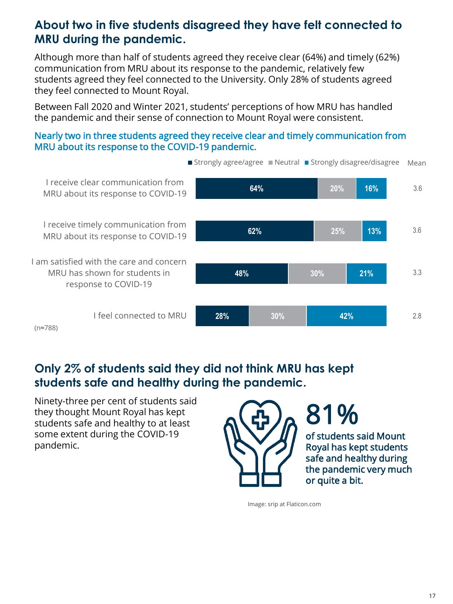# **About two in five students disagreed they have felt connected to MRU during the pandemic.**

Although more than half of students agreed they receive clear (64%) and timely (62%) communication from MRU about its response to the pandemic, relatively few students agreed they feel connected to the University. Only 28% of students agreed they feel connected to Mount Royal.

Between Fall 2020 and Winter 2021, students' perceptions of how MRU has handled the pandemic and their sense of connection to Mount Royal were consistent.

#### Nearly two in three students agreed they receive clear and timely communication from MRU about its response to the COVID-19 pandemic.



**Only 2% of students said they did not think MRU has kept students safe and healthy during the pandemic.**

Ninety-three per cent of students said they thought Mount Royal has kept students safe and healthy to at least some extent during the COVID-19 pandemic.



Image: srip at Flaticon.com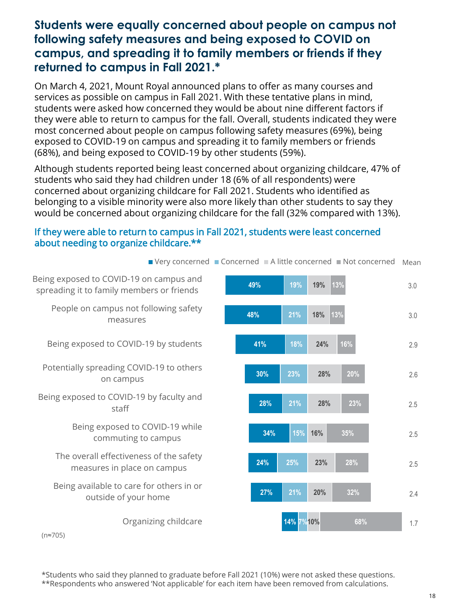# **Students were equally concerned about people on campus not following safety measures and being exposed to COVID on campus, and spreading it to family members or friends if they returned to campus in Fall 2021.\***

On March 4, 2021, Mount Royal announced plans to offer as many courses and services as possible on campus in Fall 2021. With these tentative plans in mind, students were asked how concerned they would be about nine different factors if they were able to return to campus for the fall. Overall, students indicated they were most concerned about people on campus following safety measures (69%), being exposed to COVID-19 on campus and spreading it to family members or friends (68%), and being exposed to COVID-19 by other students (59%).

Although students reported being least concerned about organizing childcare, 47% of students who said they had children under 18 (6% of all respondents) were concerned about organizing childcare for Fall 2021. Students who identified as belonging to a visible minority were also more likely than other students to say they would be concerned about organizing childcare for the fall (32% compared with 13%).

#### If they were able to return to campus in Fall 2021, students were least concerned about needing to organize childcare.\*\*



2.6

 $\blacksquare$  Very concerned  $\blacksquare$  Concerned  $\blacksquare$  A little concerned  $\blacksquare$  Not concerned Mean

\*Students who said they planned to graduate before Fall 2021 (10%) were not asked these questions. \*\*Respondents who answered 'Not applicable' for each item have been removed from calculations.

1.7

2.4

2.5

2.5

2.9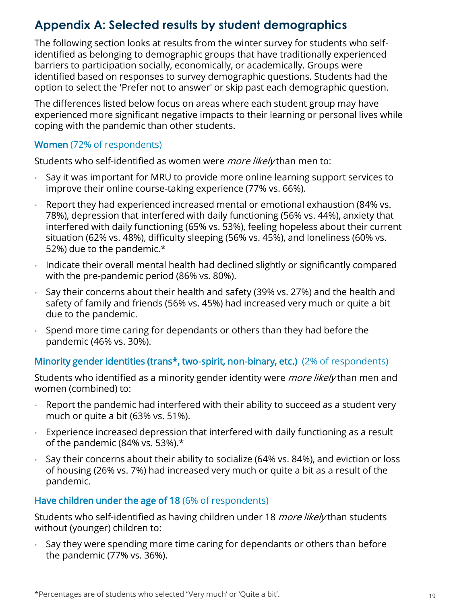# **Appendix A: Selected results by student demographics**

The following section looks at results from the winter survey for students who selfidentified as belonging to demographic groups that have traditionally experienced barriers to participation socially, economically, or academically. Groups were identified based on responses to survey demographic questions. Students had the option to select the 'Prefer not to answer' or skip past each demographic question.

The differences listed below focus on areas where each student group may have experienced more significant negative impacts to their learning or personal lives while coping with the pandemic than other students.

### Women (72% of respondents)

Students who self-identified as women were *more likely* than men to:

- Say it was important for MRU to provide more online learning support services to improve their online course-taking experience (77% vs. 66%).
- Report they had experienced increased mental or emotional exhaustion (84% vs. 78%), depression that interfered with daily functioning (56% vs. 44%), anxiety that interfered with daily functioning (65% vs. 53%), feeling hopeless about their current situation (62% vs. 48%), difficulty sleeping (56% vs. 45%), and loneliness (60% vs. 52%) due to the pandemic.\*
- Indicate their overall mental health had declined slightly or significantly compared with the pre-pandemic period (86% vs. 80%).
- Say their concerns about their health and safety (39% vs. 27%) and the health and safety of family and friends (56% vs. 45%) had increased very much or quite a bit due to the pandemic.
- Spend more time caring for dependants or others than they had before the pandemic (46% vs. 30%).

### Minority gender identities (trans\*, two-spirit, non-binary, etc.) (2% of respondents)

Students who identified as a minority gender identity were *more likely* than men and women (combined) to:

- Report the pandemic had interfered with their ability to succeed as a student very much or quite a bit (63% vs. 51%).
- Experience increased depression that interfered with daily functioning as a result of the pandemic (84% vs. 53%).\*
- Say their concerns about their ability to socialize (64% vs. 84%), and eviction or loss of housing (26% vs. 7%) had increased very much or quite a bit as a result of the pandemic.

### Have children under the age of 18 (6% of respondents)

Students who self-identified as having children under 18 *more likely* than students without (younger) children to:

Say they were spending more time caring for dependants or others than before the pandemic (77% vs. 36%).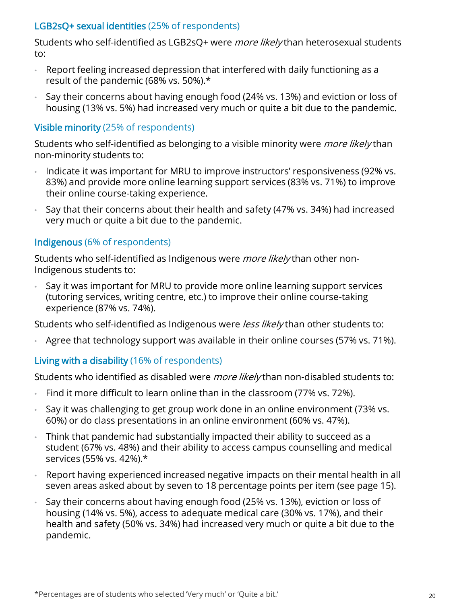### LGB2sQ+ sexual identities (25% of respondents)

Students who self-identified as LGB2sQ+ were *more likely* than heterosexual students to:

- Report feeling increased depression that interfered with daily functioning as a result of the pandemic (68% vs. 50%).\*
- Say their concerns about having enough food (24% vs. 13%) and eviction or loss of housing (13% vs. 5%) had increased very much or quite a bit due to the pandemic.

### Visible minority (25% of respondents)

Students who self-identified as belonging to a visible minority were *more likely* than non-minority students to:

- Indicate it was important for MRU to improve instructors' responsiveness (92% vs. 83%) and provide more online learning support services (83% vs. 71%) to improve their online course-taking experience.
- Say that their concerns about their health and safety (47% vs. 34%) had increased very much or quite a bit due to the pandemic.

### Indigenous (6% of respondents)

Students who self-identified as Indigenous were *more likely* than other non-Indigenous students to:

• Say it was important for MRU to provide more online learning support services (tutoring services, writing centre, etc.) to improve their online course-taking experience (87% vs. 74%).

Students who self-identified as Indigenous were *less likely* than other students to:

• Agree that technology support was available in their online courses (57% vs. 71%).

### Living with a disability (16% of respondents)

Students who identified as disabled were *more likely* than non-disabled students to:

- Find it more difficult to learn online than in the classroom (77% vs. 72%).
- Say it was challenging to get group work done in an online environment (73% vs. 60%) or do class presentations in an online environment (60% vs. 47%).
- Think that pandemic had substantially impacted their ability to succeed as a student (67% vs. 48%) and their ability to access campus counselling and medical services (55% vs. 42%).\*
- Report having experienced increased negative impacts on their mental health in all seven areas asked about by seven to 18 percentage points per item (see page 15).
- Say their concerns about having enough food (25% vs. 13%), eviction or loss of housing (14% vs. 5%), access to adequate medical care (30% vs. 17%), and their health and safety (50% vs. 34%) had increased very much or quite a bit due to the pandemic.